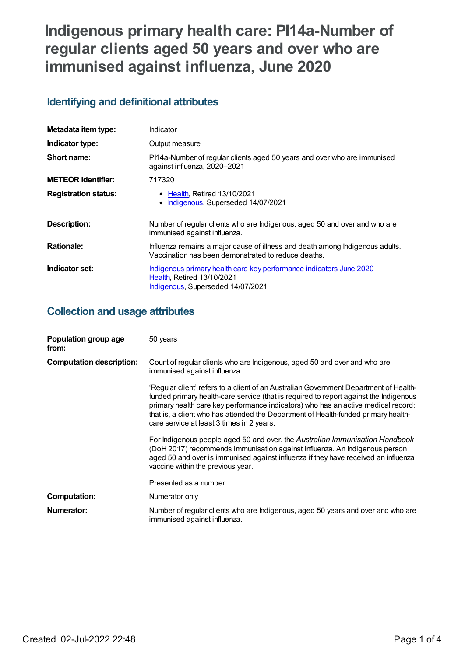# **Indigenous primary health care: PI14a-Number of regular clients aged 50 years and over who are immunised against influenza, June 2020**

# **Identifying and definitional attributes**

| Metadata item type:         | Indicator                                                                                                                                     |
|-----------------------------|-----------------------------------------------------------------------------------------------------------------------------------------------|
| Indicator type:             | Output measure                                                                                                                                |
| Short name:                 | PI14a-Number of regular clients aged 50 years and over who are immunised<br>against influenza, 2020-2021                                      |
| <b>METEOR identifier:</b>   | 717320                                                                                                                                        |
| <b>Registration status:</b> | • Health, Retired 13/10/2021<br>Indigenous, Superseded 14/07/2021                                                                             |
| <b>Description:</b>         | Number of regular clients who are Indigenous, aged 50 and over and who are<br>immunised against influenza.                                    |
| <b>Rationale:</b>           | Influenza remains a major cause of illness and death among Indigenous adults.<br>Vaccination has been demonstrated to reduce deaths.          |
| Indicator set:              | Indigenous primary health care key performance indicators June 2020<br><b>Health, Retired 13/10/2021</b><br>Indigenous, Superseded 14/07/2021 |

# **Collection and usage attributes**

| Population group age<br>from:   | 50 years                                                                                                                                                                                                                                                                                                                                                                                               |
|---------------------------------|--------------------------------------------------------------------------------------------------------------------------------------------------------------------------------------------------------------------------------------------------------------------------------------------------------------------------------------------------------------------------------------------------------|
| <b>Computation description:</b> | Count of regular clients who are Indigenous, aged 50 and over and who are<br>immunised against influenza.                                                                                                                                                                                                                                                                                              |
|                                 | 'Regular client' refers to a client of an Australian Government Department of Health-<br>funded primary health-care service (that is required to report against the Indigenous<br>primary health care key performance indicators) who has an active medical record;<br>that is, a client who has attended the Department of Health-funded primary health-<br>care service at least 3 times in 2 years. |
|                                 | For Indigenous people aged 50 and over, the Australian Immunisation Handbook<br>(DoH 2017) recommends immunisation against influenza. An Indigenous person<br>aged 50 and over is immunised against influenza if they have received an influenza<br>vaccine within the previous year.                                                                                                                  |
|                                 | Presented as a number.                                                                                                                                                                                                                                                                                                                                                                                 |
| <b>Computation:</b>             | Numerator only                                                                                                                                                                                                                                                                                                                                                                                         |
| Numerator:                      | Number of regular clients who are Indigenous, aged 50 years and over and who are<br>immunised against influenza.                                                                                                                                                                                                                                                                                       |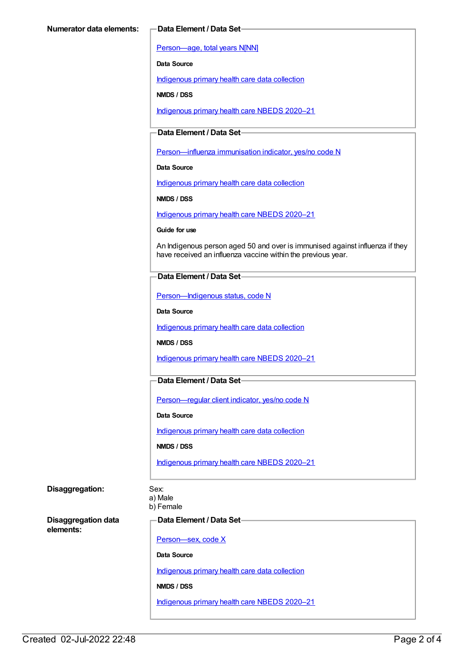[Person—age,](https://meteor.aihw.gov.au/content/303794) total years N[NN]

**Data Source**

[Indigenous](https://meteor.aihw.gov.au/content/430643) primary health care data collection

**NMDS / DSS**

[Indigenous](https://meteor.aihw.gov.au/content/715320) primary health care NBEDS 2020–21

### **Data Element / Data Set**

[Person—influenza](https://meteor.aihw.gov.au/content/457688) immunisation indicator, yes/no code N

**Data Source**

[Indigenous](https://meteor.aihw.gov.au/content/430643) primary health care data collection

**NMDS / DSS**

[Indigenous](https://meteor.aihw.gov.au/content/715320) primary health care NBEDS 2020–21

**Guide for use**

An Indigenous person aged 50 and over is immunised against influenza if they have received an influenza vaccine within the previous year.

#### **Data Element / Data Set**

[Person—Indigenous](https://meteor.aihw.gov.au/content/602543) status, code N

**Data Source**

[Indigenous](https://meteor.aihw.gov.au/content/430643) primary health care data collection

**NMDS / DSS**

[Indigenous](https://meteor.aihw.gov.au/content/715320) primary health care NBEDS 2020–21

#### **Data Element / Data Set**

[Person—regular](https://meteor.aihw.gov.au/content/686291) client indicator, yes/no code N

**Data Source**

[Indigenous](https://meteor.aihw.gov.au/content/430643) primary health care data collection

**NMDS / DSS**

[Indigenous](https://meteor.aihw.gov.au/content/715320) primary health care NBEDS 2020–21

#### **Disaggregation:** Sex:

a) Male

b) Female

**Disaggregation data elements:**

**Data Element / Data Set**

[Person—sex,](https://meteor.aihw.gov.au/content/635126) code X

**Data Source**

[Indigenous](https://meteor.aihw.gov.au/content/430643) primary health care data collection

**NMDS / DSS**

[Indigenous](https://meteor.aihw.gov.au/content/715320) primary health care NBEDS 2020–21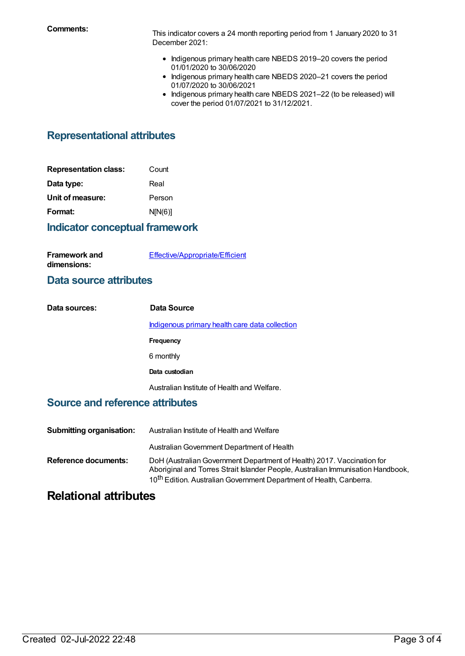**Comments:** This indicator covers <sup>a</sup> <sup>24</sup> month reporting period from <sup>1</sup> January <sup>2020</sup> to <sup>31</sup> December 2021:

- Indigenous primary health care NBEDS 2019-20 covers the period 01/01/2020 to 30/06/2020
- Indigenous primary health care NBEDS 2020-21 covers the period 01/07/2020 to 30/06/2021
- Indigenous primary health care NBEDS 2021-22 (to be released) will cover the period 01/07/2021 to 31/12/2021.

# **Representational attributes**

| Count   |
|---------|
|         |
| Person  |
| N[N(6)] |
|         |

## **Indicator conceptual framework**

| <b>Framework and</b> | Effective/Appropriate/Efficient |
|----------------------|---------------------------------|
| dimensions:          |                                 |

## **Data source attributes**

| Data sources: | Data Source                                    |
|---------------|------------------------------------------------|
|               | Indigenous primary health care data collection |
|               | Frequency                                      |
|               | 6 monthly                                      |
|               | Data custodian                                 |
|               | Australian Institute of Health and Welfare.    |

## **Source and reference attributes**

| <b>Submitting organisation:</b> | Australian Institute of Health and Welfare                                                                                                                                                                                                   |
|---------------------------------|----------------------------------------------------------------------------------------------------------------------------------------------------------------------------------------------------------------------------------------------|
|                                 | Australian Government Department of Health                                                                                                                                                                                                   |
| <b>Reference documents:</b>     | DoH (Australian Government Department of Health) 2017. Vaccination for<br>Aboriginal and Torres Strait Islander People, Australian Immunisation Handbook,<br>10 <sup>th</sup> Edition. Australian Government Department of Health, Canberra. |

# **Relational attributes**